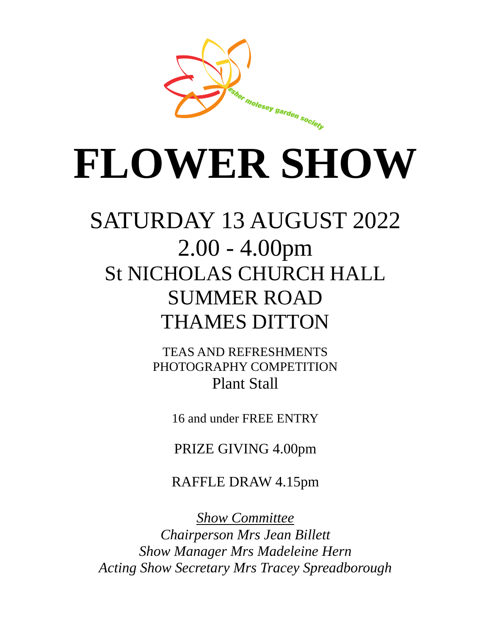

# **FLOWER SHOW**

## SATURDAY 13 AUGUST 2022 2.00 - 4.00pm St NICHOLAS CHURCH HALL SUMMER ROAD THAMES DITTON

TEAS AND REFRESHMENTS PHOTOGRAPHY COMPETITION Plant Stall

16 and under FREE ENTRY

PRIZE GIVING 4.00pm

RAFFLE DRAW 4.15pm

*Show Committee Chairperson Mrs Jean Billett Show Manager Mrs Madeleine Hern Acting Show Secretary Mrs Tracey Spreadborough*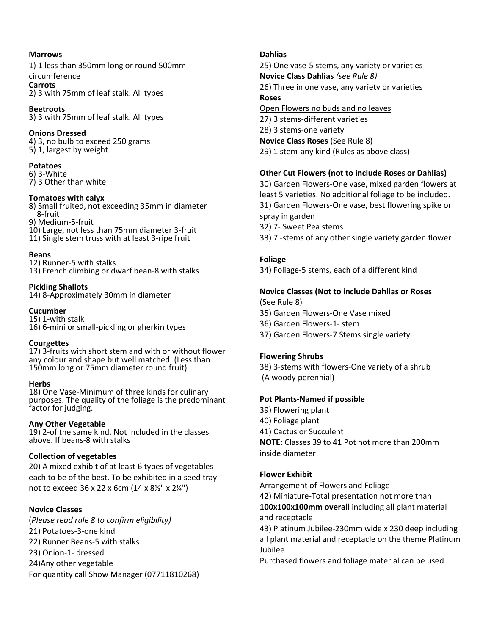#### **Marrows**

1) 1 less than 350mm long or round 500mm circumference

**Carrots** 2) 3 with 75mm of leaf stalk. All types

**Beetroots** 3) 3 with 75mm of leaf stalk. All types

#### **Onions Dressed**

4) 3, no bulb to exceed 250 grams 5) 1, largest by weight

#### **Potatoes**

6) 3-White 7) 3 Other than white

#### **Tomatoes with calyx**

8) Small fruited, not exceeding 35mm in diameter 8-fruit

9) Medium-5-fruit

- 10) Large, not less than 75mm diameter 3-fruit
- 11) Single stem truss with at least 3-ripe fruit

#### **Beans**

12) Runner-5 with stalks 13) French climbing or dwarf bean-8 with stalks

#### **Pickling Shallots**

14) 8-Approximately 30mm in diameter

#### **Cucumber**

15) 1-with stalk 16) 6-mini or small-pickling or gherkin types

#### **Courgettes**

17) 3-fruits with short stem and with or without flower any colour and shape but well matched. (Less than 150mm long or 75mm diameter round fruit)

#### **Herbs**

18) One Vase-Minimum of three kinds for culinary purposes. The quality of the foliage is the predominant factor for judging.

#### **Any Other Vegetable**

19) 2-of the same kind. Not included in the classes above. If beans-8 with stalks

#### **Collection of vegetables**

20) A mixed exhibit of at least 6 types of vegetables each to be of the best. To be exhibited in a seed tray not to exceed 36 x 22 x 6cm (14 x 8½" x 2¼")

#### **Novice Classes**

(*Please read rule 8 to confirm eligibility)* 21) Potatoes-3-one kind 22) Runner Beans-5 with stalks 23) Onion-1- dressed 24)Any other vegetable For quantity call Show Manager (07711810268)

#### **Dahlias**

25) One vase-5 stems, any variety or varieties **Novice Class Dahlias** *(see Rule 8)* 26) Three in one vase, any variety or varieties **Roses**

Open Flowers no buds and no leaves 27) 3 stems-different varieties 28) 3 stems-one variety **Novice Class Roses** (See Rule 8) 29) 1 stem-any kind (Rules as above class)

#### **Other Cut Flowers (not to include Roses or Dahlias)**

30) Garden Flowers-One vase, mixed garden flowers at least 5 varieties. No additional foliage to be included. 31) Garden Flowers-One vase, best flowering spike or spray in garden

32) 7- Sweet Pea stems

33) 7 -stems of any other single variety garden flower

#### **Foliage**

34) Foliage-5 stems, each of a different kind

### **Novice Classes (Not to include Dahlias or Roses**

- (See Rule 8) 35) Garden Flowers-One Vase mixed 36) Garden Flowers-1- stem
- 37) Garden Flowers-7 Stems single variety

#### **Flowering Shrubs**

38) 3-stems with flowers-One variety of a shrub (A woody perennial)

#### **Pot Plants-Named if possible**

39) Flowering plant 40) Foliage plant 41) Cactus or Succulent **NOTE:** Classes 39 to 41 Pot not more than 200mm inside diameter

#### **Flower Exhibit**

Arrangement of Flowers and Foliage

42) Miniature-Total presentation not more than

**100x100x100mm overall** including all plant material and receptacle

43) Platinum Jubilee-230mm wide x 230 deep including all plant material and receptacle on the theme Platinum Jubilee

Purchased flowers and foliage material can be used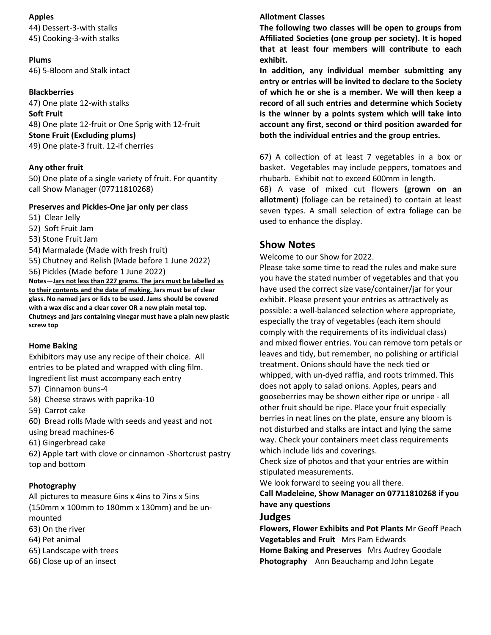#### **Apples**

44) Dessert-3-with stalks 45) Cooking-3-with stalks

#### **Plums** 46) 5-Bloom and Stalk intact

#### **Blackberries**

47) One plate 12-with stalks **Soft Fruit** 48) One plate 12-fruit or One Sprig with 12-fruit **Stone Fruit (Excluding plums)** 49) One plate-3 fruit. 12-if cherries

#### **Any other fruit**

50) One plate of a single variety of fruit. For quantity call Show Manager (07711810268)

#### **Preserves and Pickles-One jar only per class**

- 51) Clear Jelly
- 52) Soft Fruit Jam
- 53) Stone Fruit Jam
- 54) Marmalade (Made with fresh fruit)
- 55) Chutney and Relish (Made before 1 June 2022)
- 56) Pickles (Made before 1 June 2022)

**Notes—Jars not less than 227 grams. The jars must be labelled as to their contents and the date of making. Jars must be of clear glass. No named jars or lids to be used. Jams should be covered with a wax disc and a clear cover OR a new plain metal top. Chutneys and jars containing vinegar must have a plain new plastic screw top**

#### **Home Baking**

Exhibitors may use any recipe of their choice. All entries to be plated and wrapped with cling film. Ingredient list must accompany each entry

- 57) Cinnamon buns-4
- 58) Cheese straws with paprika-10
- 59) Carrot cake
- 60) Bread rolls Made with seeds and yeast and not using bread machines-6
- 61) Gingerbread cake
- 62) Apple tart with clove or cinnamon -Shortcrust pastry top and bottom

#### **Photography**

All pictures to measure 6ins x 4ins to 7ins x 5ins (150mm x 100mm to 180mm x 130mm) and be unmounted

- 63) On the river
- 64) Pet animal
- 65) Landscape with trees
- 66) Close up of an insect

#### **Allotment Classes**

**The following two classes will be open to groups from Affiliated Societies (one group per society). It is hoped that at least four members will contribute to each exhibit.**

**In addition, any individual member submitting any entry or entries will be invited to declare to the Society of which he or she is a member. We will then keep a record of all such entries and determine which Society is the winner by a points system which will take into account any first, second or third position awarded for both the individual entries and the group entries.**

67) A collection of at least 7 vegetables in a box or basket. Vegetables may include peppers, tomatoes and rhubarb. Exhibit not to exceed 600mm in length.

68) A vase of mixed cut flowers **(grown on an allotment**) (foliage can be retained) to contain at least seven types. A small selection of extra foliage can be used to enhance the display.

#### **Show Notes**

Welcome to our Show for 2022.

Please take some time to read the rules and make sure you have the stated number of vegetables and that you have used the correct size vase/container/jar for your exhibit. Please present your entries as attractively as possible: a well-balanced selection where appropriate, especially the tray of vegetables (each item should comply with the requirements of its individual class) and mixed flower entries. You can remove torn petals or leaves and tidy, but remember, no polishing or artificial treatment. Onions should have the neck tied or whipped, with un-dyed raffia, and roots trimmed. This does not apply to salad onions. Apples, pears and gooseberries may be shown either ripe or unripe - all other fruit should be ripe. Place your fruit especially berries in neat lines on the plate, ensure any bloom is not disturbed and stalks are intact and lying the same way. Check your containers meet class requirements which include lids and coverings.

Check size of photos and that your entries are within stipulated measurements.

We look forward to seeing you all there.

**Call Madeleine, Show Manager on 07711810268 if you have any questions**

#### **Judges**

**Flowers, Flower Exhibits and Pot Plants** Mr Geoff Peach **Vegetables and Fruit** Mrs Pam Edwards **Home Baking and Preserves** Mrs Audrey Goodale **Photography** Ann Beauchamp and John Legate